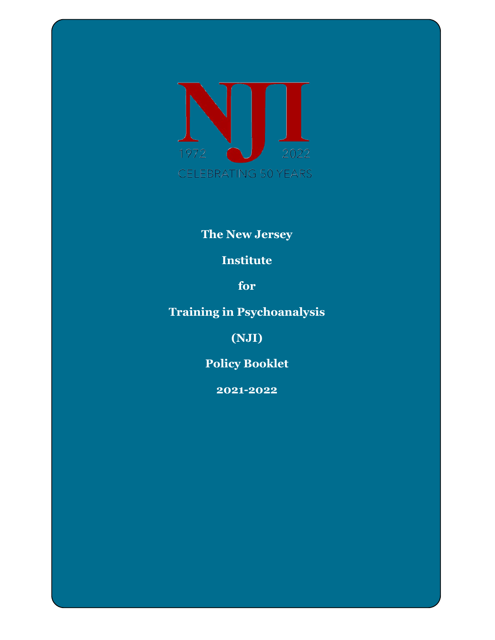

# **The New Jersey**

# **Institute**

**for** 

# **Training in Psychoanalysis**

**(NJI)**

**Policy Booklet**

**2021-2022**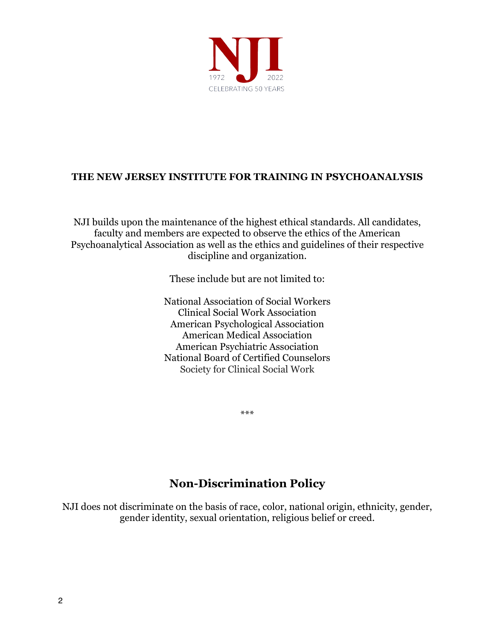

# **THE NEW JERSEY INSTITUTE FOR TRAINING IN PSYCHOANALYSIS**

NJI builds upon the maintenance of the highest ethical standards. All candidates, faculty and members are expected to observe the ethics of the American Psychoanalytical Association as well as the ethics and guidelines of their respective discipline and organization.

These include but are not limited to:

National Association of Social Workers Clinical Social Work Association American Psychological Association American Medical Association American Psychiatric Association National Board of Certified Counselors Society for Clinical Social Work

\*\*\*

# **Non-Discrimination Policy**

NJI does not discriminate on the basis of race, color, national origin, ethnicity, gender, gender identity, sexual orientation, religious belief or creed.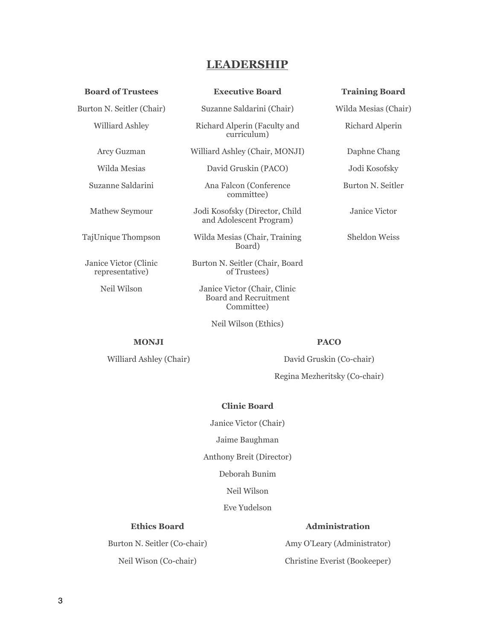#### **LEADERSHIP**

| <b>Board of Trustees</b>                 | <b>Executive Board</b>                                                     | <b>Training Board</b> |
|------------------------------------------|----------------------------------------------------------------------------|-----------------------|
| Burton N. Seitler (Chair)                | Suzanne Saldarini (Chair)                                                  | Wilda Mesias (Chair)  |
| Williard Ashley                          | Richard Alperin (Faculty and<br>curriculum)                                | Richard Alperin       |
| Arcy Guzman                              | Williard Ashley (Chair, MONJI)                                             | Daphne Chang          |
| Wilda Mesias                             | David Gruskin (PACO)                                                       | Jodi Kosofsky         |
| Suzanne Saldarini                        | Ana Falcon (Conference)<br>committee)                                      | Burton N. Seitler     |
| Mathew Seymour                           | Jodi Kosofsky (Director, Child<br>and Adolescent Program)                  | Janice Victor         |
| TajUnique Thompson                       | Wilda Mesias (Chair, Training<br>Board)                                    | Sheldon Weiss         |
| Janice Victor (Clinic<br>representative) | Burton N. Seitler (Chair, Board<br>of Trustees)                            |                       |
| Neil Wilson                              | Janice Victor (Chair, Clinic<br><b>Board and Recruitment</b><br>Committee) |                       |

**MONJI PACO**

Williard Ashley (Chair) David Gruskin (Co-chair)

Regina Mezheritsky (Co-chair)

#### **Clinic Board**

Neil Wilson (Ethics)

Janice Victor (Chair)

Jaime Baughman

Anthony Breit (Director)

Deborah Bunim

Neil Wilson

Eve Yudelson

Burton N. Seitler (Co-chair) Neil Wison (Co-chair)

#### **Ethics Board Administration**

Amy O'Leary (Administrator) Christine Everist (Bookeeper)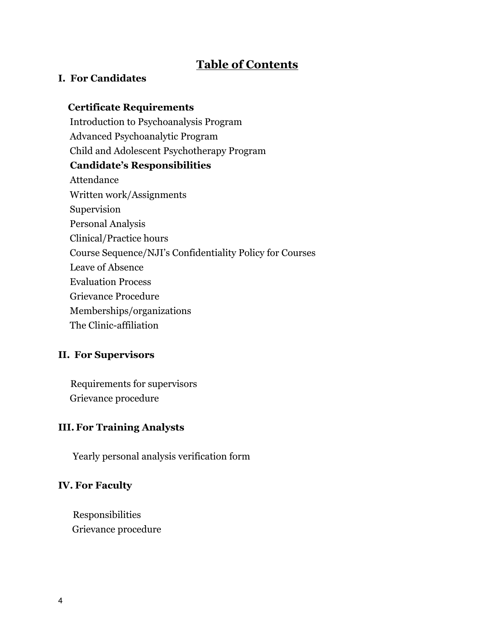# **Table of Contents**

#### **I. For Candidates**

# **Certificate Requirements** Introduction to Psychoanalysis Program Advanced Psychoanalytic Program Child and Adolescent Psychotherapy Program **Candidate's Responsibilities** Attendance Written work/Assignments Supervision Personal Analysis Clinical/Practice hours Course Sequence/NJI's Confidentiality Policy for Courses Leave of Absence Evaluation Process Grievance Procedure Memberships/organizations The Clinic-affiliation **II. For Supervisors**

Requirements for supervisors Grievance procedure

#### **III.For Training Analysts**

Yearly personal analysis verification form

#### **IV. For Faculty**

Responsibilities Grievance procedure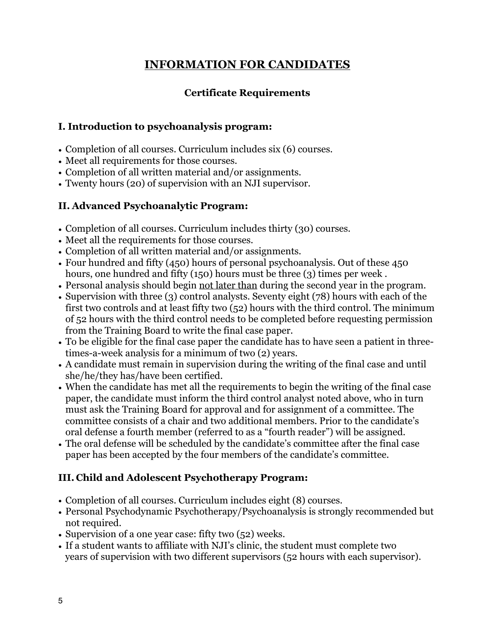# **INFORMATION FOR CANDIDATES**

# **Certificate Requirements**

#### **I. Introduction to psychoanalysis program:**

- Completion of all courses. Curriculum includes six (6) courses.
- Meet all requirements for those courses.
- Completion of all written material and/or assignments.
- Twenty hours (20) of supervision with an NJI supervisor.

#### **II. Advanced Psychoanalytic Program:**

- Completion of all courses. Curriculum includes thirty (30) courses.
- Meet all the requirements for those courses.
- Completion of all written material and/or assignments.
- Four hundred and fifty (450) hours of personal psychoanalysis. Out of these 450 hours, one hundred and fifty (150) hours must be three (3) times per week.
- Personal analysis should begin not later than during the second year in the program.
- Supervision with three (3) control analysts. Seventy eight (78) hours with each of the first two controls and at least fifty two (52) hours with the third control. The minimum of 52 hours with the third control needs to be completed before requesting permission from the Training Board to write the final case paper.
- To be eligible for the final case paper the candidate has to have seen a patient in threetimes-a-week analysis for a minimum of two (2) years.
- A candidate must remain in supervision during the writing of the final case and until she/he/they has/have been certified.
- When the candidate has met all the requirements to begin the writing of the final case paper, the candidate must inform the third control analyst noted above, who in turn must ask the Training Board for approval and for assignment of a committee. The committee consists of a chair and two additional members. Prior to the candidate's oral defense a fourth member (referred to as a "fourth reader") will be assigned.
- The oral defense will be scheduled by the candidate's committee after the final case paper has been accepted by the four members of the candidate's committee.

# **III. Child and Adolescent Psychotherapy Program:**

- Completion of all courses. Curriculum includes eight (8) courses.
- Personal Psychodynamic Psychotherapy/Psychoanalysis is strongly recommended but not required.
- Supervision of a one year case: fifty two (52) weeks.
- If a student wants to affiliate with NJI's clinic, the student must complete two years of supervision with two different supervisors (52 hours with each supervisor).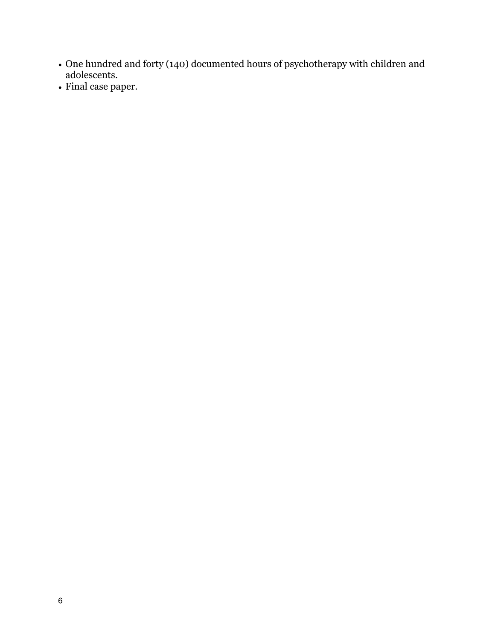- One hundred and forty (140) documented hours of psychotherapy with children and adolescents.
- Final case paper.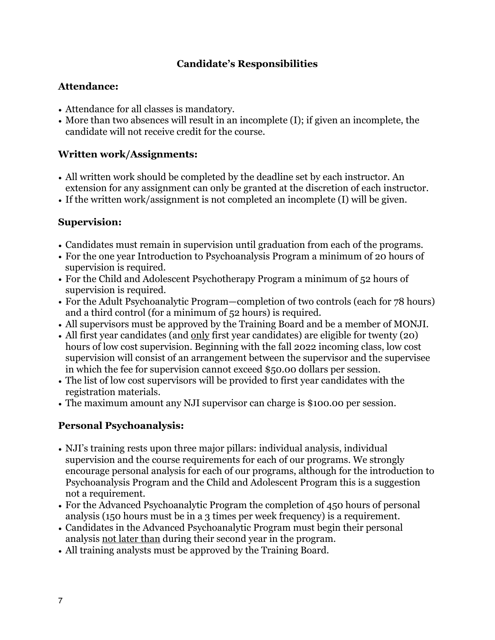# **Candidate's Responsibilities**

#### **Attendance:**

- Attendance for all classes is mandatory.
- More than two absences will result in an incomplete (I); if given an incomplete, the candidate will not receive credit for the course.

# **Written work/Assignments:**

- All written work should be completed by the deadline set by each instructor. An extension for any assignment can only be granted at the discretion of each instructor.
- If the written work/assignment is not completed an incomplete (I) will be given.

#### **Supervision:**

- Candidates must remain in supervision until graduation from each of the programs.
- For the one year Introduction to Psychoanalysis Program a minimum of 20 hours of supervision is required.
- For the Child and Adolescent Psychotherapy Program a minimum of 52 hours of supervision is required.
- For the Adult Psychoanalytic Program—completion of two controls (each for 78 hours) and a third control (for a minimum of 52 hours) is required.
- All supervisors must be approved by the Training Board and be a member of MONJI.
- All first year candidates (and only first year candidates) are eligible for twenty (20) hours of low cost supervision. Beginning with the fall 2022 incoming class, low cost supervision will consist of an arrangement between the supervisor and the supervisee in which the fee for supervision cannot exceed \$50.00 dollars per session.
- The list of low cost supervisors will be provided to first year candidates with the registration materials.
- The maximum amount any NJI supervisor can charge is \$100.00 per session.

# **Personal Psychoanalysis:**

- NJI's training rests upon three major pillars: individual analysis, individual supervision and the course requirements for each of our programs. We strongly encourage personal analysis for each of our programs, although for the introduction to Psychoanalysis Program and the Child and Adolescent Program this is a suggestion not a requirement.
- For the Advanced Psychoanalytic Program the completion of 450 hours of personal analysis (150 hours must be in a 3 times per week frequency) is a requirement.
- Candidates in the Advanced Psychoanalytic Program must begin their personal analysis not later than during their second year in the program.
- All training analysts must be approved by the Training Board.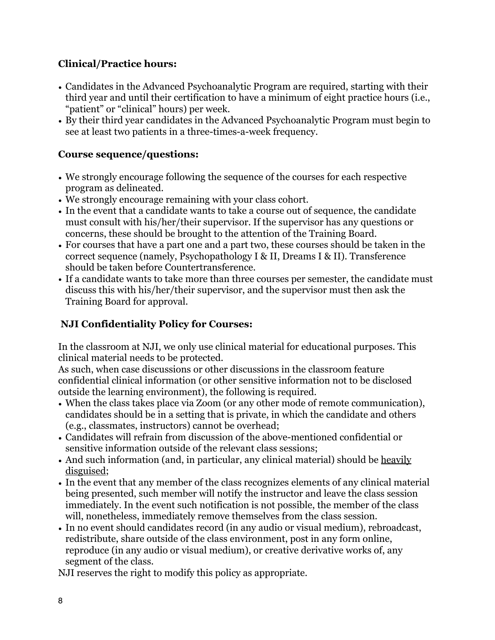# **Clinical/Practice hours:**

- Candidates in the Advanced Psychoanalytic Program are required, starting with their third year and until their certification to have a minimum of eight practice hours (i.e., "patient" or "clinical" hours) per week.
- By their third year candidates in the Advanced Psychoanalytic Program must begin to see at least two patients in a three-times-a-week frequency.

# **Course sequence/questions:**

- We strongly encourage following the sequence of the courses for each respective program as delineated.
- We strongly encourage remaining with your class cohort.
- In the event that a candidate wants to take a course out of sequence, the candidate must consult with his/her/their supervisor. If the supervisor has any questions or concerns, these should be brought to the attention of the Training Board.
- For courses that have a part one and a part two, these courses should be taken in the correct sequence (namely, Psychopathology I & II, Dreams I & II). Transference should be taken before Countertransference.
- If a candidate wants to take more than three courses per semester, the candidate must discuss this with his/her/their supervisor, and the supervisor must then ask the Training Board for approval.

# **NJI Confidentiality Policy for Courses:**

In the classroom at NJI, we only use clinical material for educational purposes. This clinical material needs to be protected.

As such, when case discussions or other discussions in the classroom feature confidential clinical information (or other sensitive information not to be disclosed outside the learning environment), the following is required.

- When the class takes place via Zoom (or any other mode of remote communication), candidates should be in a setting that is private, in which the candidate and others (e.g., classmates, instructors) cannot be overhead;
- Candidates will refrain from discussion of the above-mentioned confidential or sensitive information outside of the relevant class sessions;
- And such information (and, in particular, any clinical material) should be heavily disguised;
- In the event that any member of the class recognizes elements of any clinical material being presented, such member will notify the instructor and leave the class session immediately. In the event such notification is not possible, the member of the class will, nonetheless, immediately remove themselves from the class session.
- In no event should candidates record (in any audio or visual medium), rebroadcast, redistribute, share outside of the class environment, post in any form online, reproduce (in any audio or visual medium), or creative derivative works of, any segment of the class.

NJI reserves the right to modify this policy as appropriate.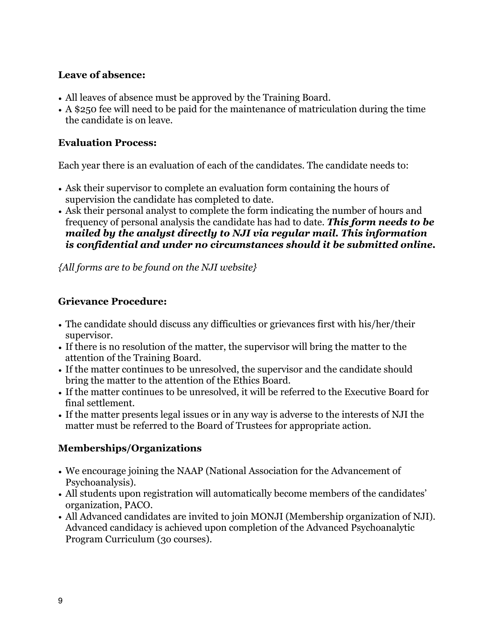#### **Leave of absence:**

- All leaves of absence must be approved by the Training Board.
- A \$250 fee will need to be paid for the maintenance of matriculation during the time the candidate is on leave.

#### **Evaluation Process:**

Each year there is an evaluation of each of the candidates. The candidate needs to:

- Ask their supervisor to complete an evaluation form containing the hours of supervision the candidate has completed to date.
- Ask their personal analyst to complete the form indicating the number of hours and frequency of personal analysis the candidate has had to date. *This form needs to be mailed by the analyst directly to NJI via regular mail. This information is confidential and under no circumstances should it be submitted online.*

*{All forms are to be found on the NJI website}*

# **Grievance Procedure:**

- The candidate should discuss any difficulties or grievances first with his/her/their supervisor.
- If there is no resolution of the matter, the supervisor will bring the matter to the attention of the Training Board.
- If the matter continues to be unresolved, the supervisor and the candidate should bring the matter to the attention of the Ethics Board.
- If the matter continues to be unresolved, it will be referred to the Executive Board for final settlement.
- If the matter presents legal issues or in any way is adverse to the interests of NJI the matter must be referred to the Board of Trustees for appropriate action.

# **Memberships/Organizations**

- We encourage joining the NAAP (National Association for the Advancement of Psychoanalysis).
- All students upon registration will automatically become members of the candidates' organization, PACO.
- All Advanced candidates are invited to join MONJI (Membership organization of NJI). Advanced candidacy is achieved upon completion of the Advanced Psychoanalytic Program Curriculum (3o courses).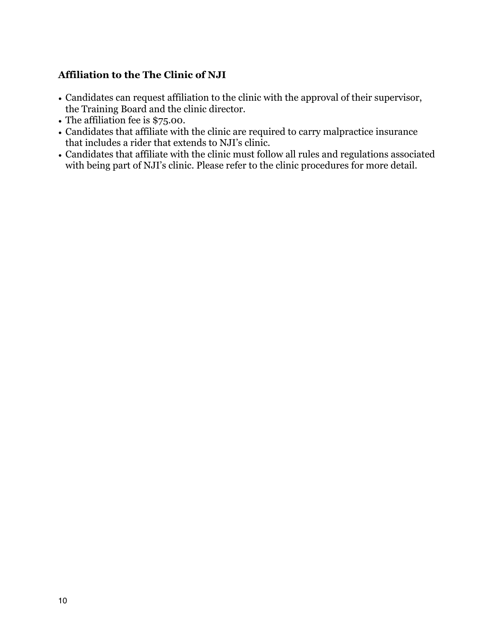# **Affiliation to the The Clinic of NJI**

- Candidates can request affiliation to the clinic with the approval of their supervisor, the Training Board and the clinic director.
- The affiliation fee is \$75.00.
- Candidates that affiliate with the clinic are required to carry malpractice insurance that includes a rider that extends to NJI's clinic.
- Candidates that affiliate with the clinic must follow all rules and regulations associated with being part of NJI's clinic. Please refer to the clinic procedures for more detail.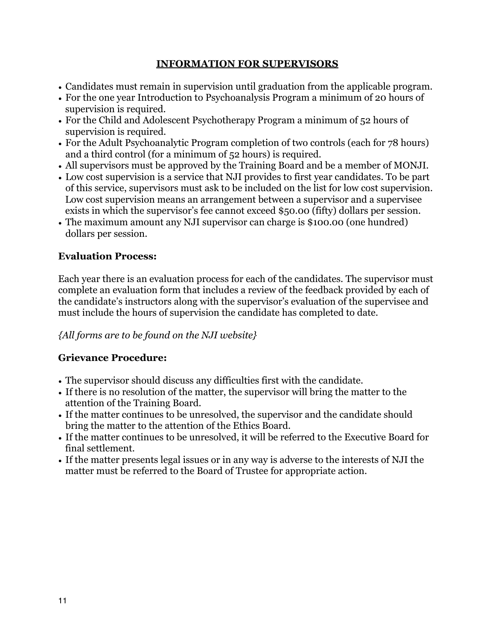#### **INFORMATION FOR SUPERVISORS**

- Candidates must remain in supervision until graduation from the applicable program.
- For the one year Introduction to Psychoanalysis Program a minimum of 20 hours of supervision is required.
- For the Child and Adolescent Psychotherapy Program a minimum of 52 hours of supervision is required.
- For the Adult Psychoanalytic Program completion of two controls (each for 78 hours) and a third control (for a minimum of 52 hours) is required.
- All supervisors must be approved by the Training Board and be a member of MONJI.
- Low cost supervision is a service that NJI provides to first year candidates. To be part of this service, supervisors must ask to be included on the list for low cost supervision. Low cost supervision means an arrangement between a supervisor and a supervisee exists in which the supervisor's fee cannot exceed \$50.00 (fifty) dollars per session.
- The maximum amount any NJI supervisor can charge is \$100.00 (one hundred) dollars per session.

#### **Evaluation Process:**

Each year there is an evaluation process for each of the candidates. The supervisor must complete an evaluation form that includes a review of the feedback provided by each of the candidate's instructors along with the supervisor's evaluation of the supervisee and must include the hours of supervision the candidate has completed to date.

#### *{All forms are to be found on the NJI website}*

# **Grievance Procedure:**

- The supervisor should discuss any difficulties first with the candidate.
- If there is no resolution of the matter, the supervisor will bring the matter to the attention of the Training Board.
- If the matter continues to be unresolved, the supervisor and the candidate should bring the matter to the attention of the Ethics Board.
- If the matter continues to be unresolved, it will be referred to the Executive Board for final settlement.
- If the matter presents legal issues or in any way is adverse to the interests of NJI the matter must be referred to the Board of Trustee for appropriate action.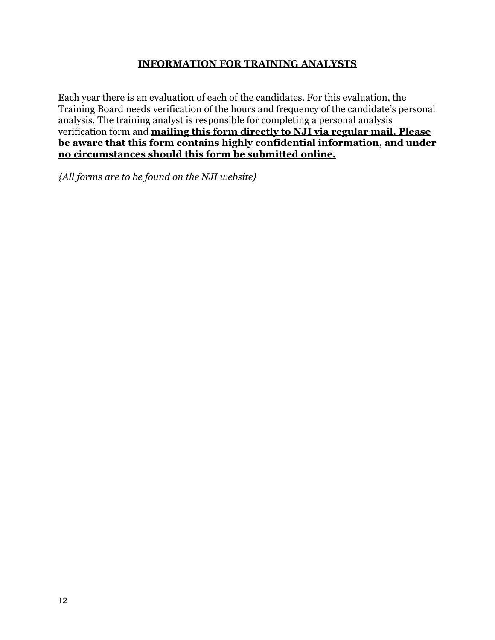#### **INFORMATION FOR TRAINING ANALYSTS**

Each year there is an evaluation of each of the candidates. For this evaluation, the Training Board needs verification of the hours and frequency of the candidate's personal analysis. The training analyst is responsible for completing a personal analysis verification form and **mailing this form directly to NJI via regular mail. Please be aware that this form contains highly confidential information, and under no circumstances should this form be submitted online.**

*{All forms are to be found on the NJI website}*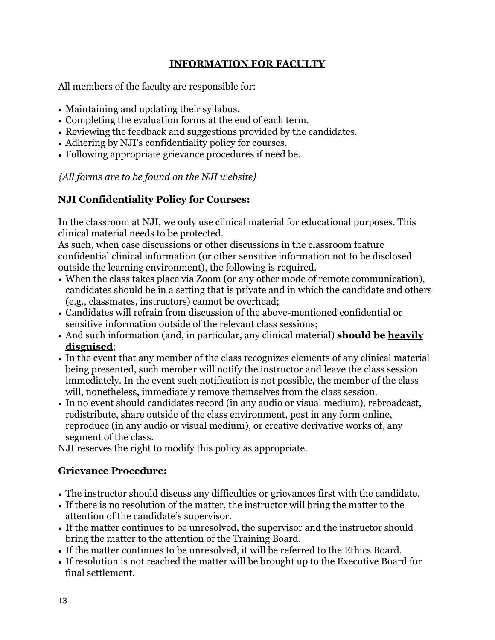#### **INFORMATION FOR FACULTY**

All members of the faculty are responsible for:

- Maintaining and updating their syllabus.
- Completing the evaluation forms at the end of each term.
- Reviewing the feedback and suggestions provided by the candidates.
- Adhering by NJI's confidentiality policy for courses.
- Following appropriate grievance procedures if need be.

*{All forms are to be found on the NJI website}*

#### **NJI Confidentiality Policy for Courses:**

In the classroom at NJI, we only use clinical material for educational purposes. This clinical material needs to be protected.

As such, when case discussions or other discussions in the classroom feature confidential clinical information (or other sensitive information not to be disclosed outside the learning environment), the following is required.

- When the class takes place via Zoom (or any other mode of remote communication), candidates should be in a setting that is private and in which the candidate and others (e.g., classmates, instructors) cannot be overhead;
- Candidates will refrain from discussion of the above-mentioned confidential or sensitive information outside of the relevant class sessions;
- And such information (and, in particular, any clinical material) **should be heavily disguised**;
- In the event that any member of the class recognizes elements of any clinical material being presented, such member will notify the instructor and leave the class session immediately. In the event such notification is not possible, the member of the class will, nonetheless, immediately remove themselves from the class session.
- In no event should candidates record (in any audio or visual medium), rebroadcast, redistribute, share outside of the class environment, post in any form online, reproduce (in any audio or visual medium), or creative derivative works of, any segment of the class.

NJI reserves the right to modify this policy as appropriate.

#### **Grievance Procedure:**

- The instructor should discuss any difficulties or grievances first with the candidate.
- If there is no resolution of the matter, the instructor will bring the matter to the attention of the candidate's supervisor.
- If the matter continues to be unresolved, the supervisor and the instructor should bring the matter to the attention of the Training Board.
- If the matter continues to be unresolved, it will be referred to the Ethics Board.
- If resolution is not reached the matter will be brought up to the Executive Board for final settlement.